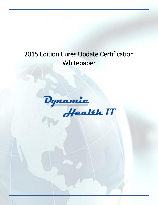# 2015 Edition Cures Update Certification Whitepaper

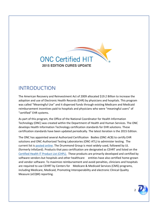

### INTRODUCTION

The American Recovery and Reinvestment Act of 2009 allocated \$19.2 Billion to increase the adoption and use of Electronic Health Records (EHR) by physicians and hospitals. This program was called "Meaningful Use" and it dispersed funds through existing Medicare and Medicaid reimbursement incentives paid to hospitals and physicians who were "meaningful users" of "certified" EHR systems.

As part of this program, the Office of the National Coordinator for Health Information Technology (ONC) was created within the Department of Health and Human Services. The ONC develops Health Information Technology certification standards for EHR solutions. These certification standards have been updated periodically. The latest iteration is the 2015 Edition.

The ONC has appointed several Authorized Certification Bodies (ONC-ACB) to certify EHR solutions and ONC-Authorized Testing Laboratories (ONC-ATL) to administer testing. The current list is [posted online.](https://chpl.healthit.gov/#/resources/overview) The Drummond Group is most widely-used, followed by UL (formerly InfoGard). Products that pass certification are designated as CEHRT and listed on the [Certified Health IT Product List \(CHPL\).](https://chpl.healthit.gov/#/search) These products are primarily developed and certified by software vendors but hospitals and other healthcare entities have also certified home-grown and vendor software. To maximize reimbursement and avoid penalties, clinicians and hospitals are required to use CEHRT by Centers for Medicare & Medicaid Services (CMS) programs, including Medicare, Medicaid, Promoting Interoperability and electronic Clinical Quality Measure (eCQM) reporting.

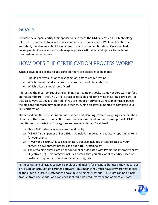### GOALS

Software developers certify their applications to meet the ONC's Certified EHR Technology (CEHRT) requirements to increase sales and meet customer needs. While certification is important, it is also important to minimize cost and resource utilization. Once certified, developers typically want to maintain appropriate certification and update to the latest standards when necessary.

### HOW DOES THE CERTIFICATION PROCESS WORK?

Once a developer decides to get certified, there are decisions to be made:

- Should I certify all at once (big bang) or in stages (wave testing)?
- Which modules and versions of my product should be certified?
- Which criteria should I certify on?

Addressing the first item requires examining your company goals. Some vendors want to "get on the scoreboard" (the ONC CHPL) as fast as possible and don't mind incurring extra cost. In that case, wave testing is preferred. If you are not in a hurry and want to minimize expense, the big bang approach may be best. In either case, plan on several months to complete your first certification.

The second and third questions are intertwined and planning involves weighing a combination of factors. There are currently 58 criteria. Some are required and some are optional. ONC classifies most criteria into 3 categories and we've added a 4th catch-all:

- 1) "Base EHR" criteria involve core functionality.
- 2) "CEHRT" is a superset of Base EHR that includes important regulatory reporting criteria for your clients.
- 3) Privacy and Security" is self-explanatory but also includes criteria related to your software development process and audit trail functionality.
- 4) The remaining criteria are either optional or associated with Promoting Interoperability Objectives (PI). This category includes criteria that you **may** want to certify based on customer requirements and your company's goals.

For hospitals and clinicians to avoid penalties and qualify for incentive bonuses, they must have a full suite of 2015 Edition certified software. This means they must have software that meets all the criteria in ONC's 3 categories above, plus selected PI criteria. This suite can be a single product from one vendor or it can consist of multiple products from one or more vendors.



3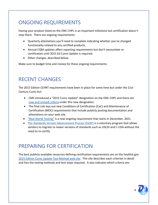## ONGOING REQUIREMENTS

Having your product listed on the ONC CHPL is an important milestone but certification doesn't stop there. There are ongoing requirements:

- Quarterly attestations you'll need to complete indicating whether you've changed functionality related to any certified products.
- Annual CQM updates affect reporting requirements but don't necessitate recertification until 2015 Ed Cures Update is required.
- Other changes, described below.

Make sure to budget time and money for these ongoing requirements.

### RECENT CHANGES

The 2015 Edition CEHRT requirements have been in place for some time but under the 21st Century Cures Act:

- CMS introduced a "2015 Cures Update" designation on the ONC CHPL and there are [new and revised criteria](https://www.dynamichealthit.com/post/the-21st-century-cures-act-final-rule-and-what-it-means-for-software-developers) under this new designation.
- The final rule lays out new Conditions of Certification (CoC) and Maintenance of Certification (MOC) requirements that include publicly posting documentation and attestations on your web site.
- "Real [World Testing"](https://www.healthit.gov/condition-ccg/real-world-testing) is a new ongoing requirement that starts in December, 2021.
- [The Standards Version Advancement Process \(SVAP\)](https://www.healthit.gov/topic/standards-version-advancement-process-svap) is a voluntary program that allows vendors to migrate to newer versions of standards such as USCDI and C-CDA without the need to re-certify.

#### PREPARING FOR CERTIFICATION

The best publicly-available resources defining certification requirements are on the healthit.gov 2015 Edition Cures [Update Test Method web site.](https://www.healthit.gov/topic/certification-ehrs/2015-edition-cures-update-test-method) This site describes each criterion in detail and lists the testing methods and test steps required. It also indicates which criteria are: